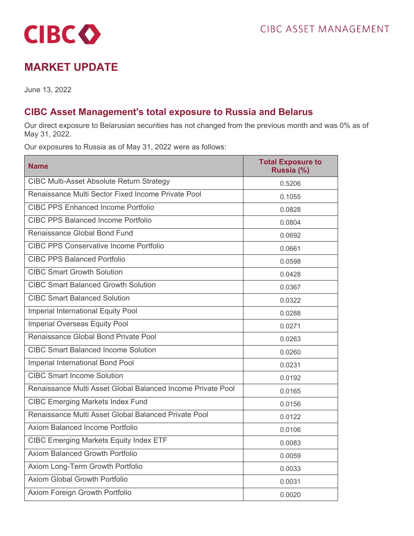

## **MARKET UPDATE**

June 13, 2022

## **CIBC Asset Management's total exposure to Russia and Belarus**

Our direct exposure to Belarusian securities has not changed from the previous month and was 0% as of May 31, 2022.

Our exposures to Russia as of May 31, 2022 were as follows:

| <b>Name</b>                                                 | <b>Total Exposure to</b><br>Russia (%) |
|-------------------------------------------------------------|----------------------------------------|
| <b>CIBC Multi-Asset Absolute Return Strategy</b>            | 0.5206                                 |
| Renaissance Multi Sector Fixed Income Private Pool          | 0.1055                                 |
| <b>CIBC PPS Enhanced Income Portfolio</b>                   | 0.0828                                 |
| <b>CIBC PPS Balanced Income Portfolio</b>                   | 0.0804                                 |
| Renaissance Global Bond Fund                                | 0.0692                                 |
| <b>CIBC PPS Conservative Income Portfolio</b>               | 0.0661                                 |
| <b>CIBC PPS Balanced Portfolio</b>                          | 0.0598                                 |
| <b>CIBC Smart Growth Solution</b>                           | 0.0428                                 |
| <b>CIBC Smart Balanced Growth Solution</b>                  | 0.0367                                 |
| <b>CIBC Smart Balanced Solution</b>                         | 0.0322                                 |
| Imperial International Equity Pool                          | 0.0288                                 |
| <b>Imperial Overseas Equity Pool</b>                        | 0.0271                                 |
| Renaissance Global Bond Private Pool                        | 0.0263                                 |
| <b>CIBC Smart Balanced Income Solution</b>                  | 0.0260                                 |
| Imperial International Bond Pool                            | 0.0231                                 |
| <b>CIBC Smart Income Solution</b>                           | 0.0192                                 |
| Renaissance Multi Asset Global Balanced Income Private Pool | 0.0165                                 |
| <b>CIBC Emerging Markets Index Fund</b>                     | 0.0156                                 |
| Renaissance Multi Asset Global Balanced Private Pool        | 0.0122                                 |
| Axiom Balanced Income Portfolio                             | 0.0106                                 |
| <b>CIBC Emerging Markets Equity Index ETF</b>               | 0.0083                                 |
| <b>Axiom Balanced Growth Portfolio</b>                      | 0.0059                                 |
| Axiom Long-Term Growth Portfolio                            | 0.0033                                 |
| <b>Axiom Global Growth Portfolio</b>                        | 0.0031                                 |
| Axiom Foreign Growth Portfolio                              | 0.0020                                 |